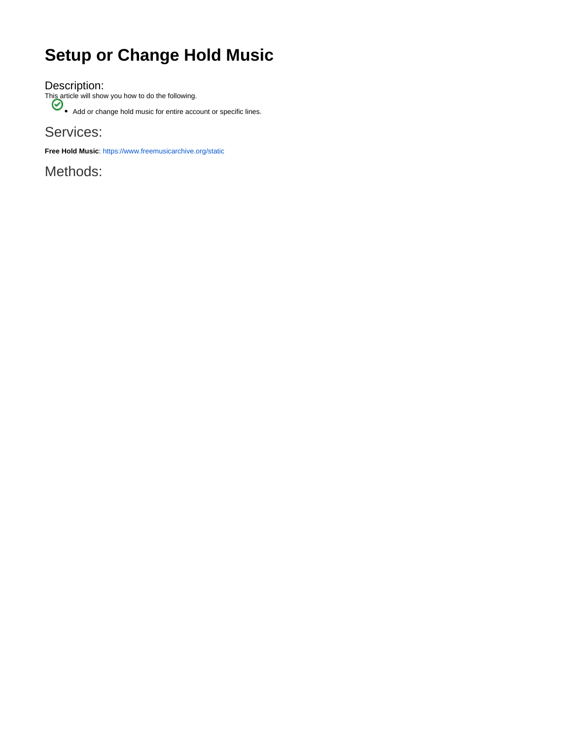## **Setup or Change Hold Music**

Description:

This article will show you how to do the following.

Add or change hold music for entire account or specific lines.

Services:

**Free Hold Music**:<https://www.freemusicarchive.org/static>

Methods: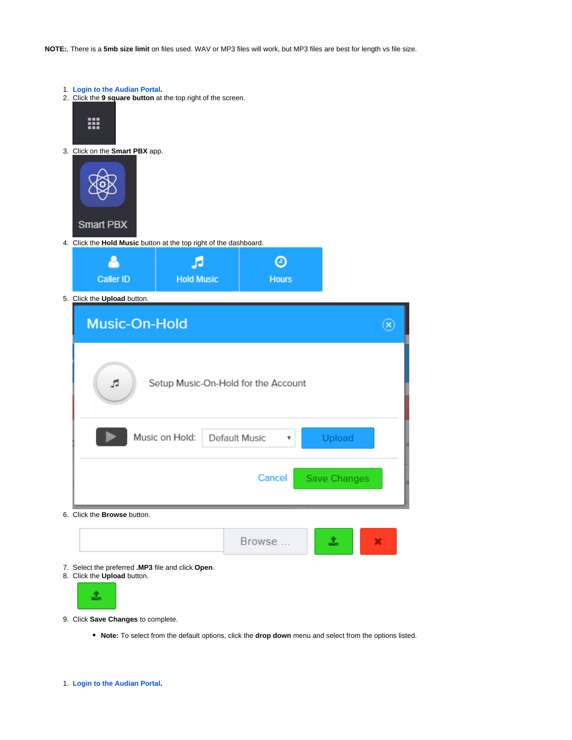**NOTE:**, There is a **5mb size limit** on files used. WAV or MP3 files will work, but MP3 files are best for length vs file size.

- 1. **[Login to the Audian Portal.](https://confluence.audian.com/display/SUPD/Login+to+the+Audian+Portal)**
- 2. Click the **9 square button** at the top right of the screen.



3. Click on the **Smart PBX** app.



4. Click the **Hold Music** button at the top right of the dashboard.



5. Click the **Upload** button.

| <b>Music-On-Hold</b>                                                   |  |
|------------------------------------------------------------------------|--|
| Setup Music-On-Hold for the Account<br>JJ.                             |  |
| Music on Hold:<br>Default Music<br>Upload<br>$\boldsymbol{\mathrm{v}}$ |  |
| <b>Cancel</b><br><b>Save Changes</b>                                   |  |
| Click the <b>Browse</b> button.                                        |  |



- 7. Select the preferred **.MP3** file and click **Open**.
- 8. Click the **Upload** button.



6.

- 9. Click **Save Changes** to complete.
	- **Note:** To select from the default options, click the **drop down** menu and select from the options listed.

Browse ...

土

×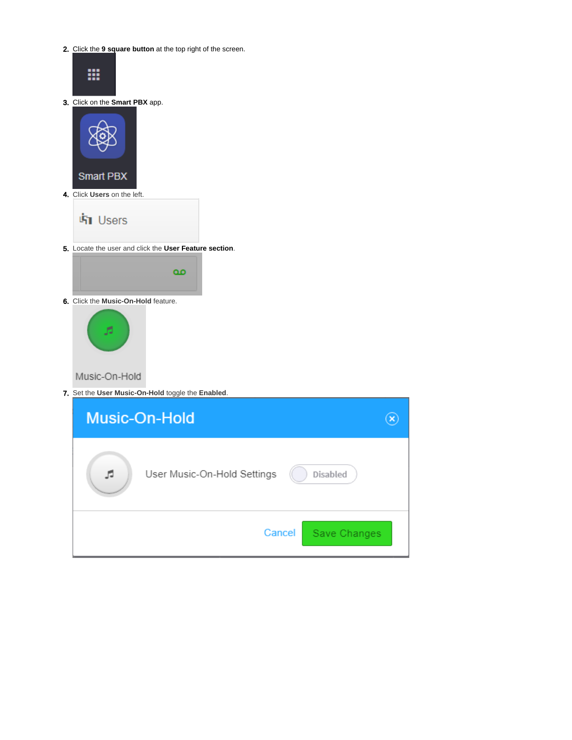2. Click the **9 square button** at the top right of the screen.



3. Click on the **Smart PBX** app.



- **「h** Users
- 5. Locate the user and click the **User Feature section**.



6. Click the **Music-On-Hold** feature.



Music-On-Hold

7. Set the **User Music-On-Hold** toggle the **Enabled**.